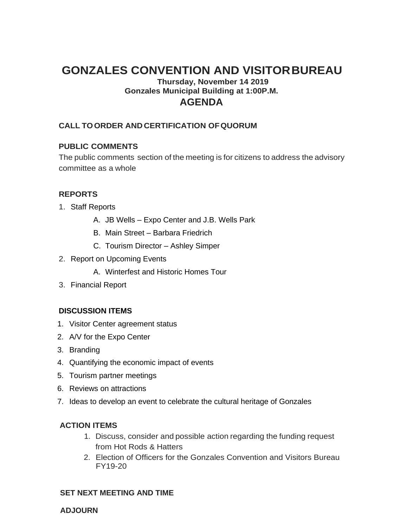# **GONZALES CONVENTION AND VISITORBUREAU**

## **Thursday, November 14 2019 Gonzales Municipal Building at 1:00P.M. AGENDA**

### **CALL TOORDER AND CERTIFICATION OFQUORUM**

#### **PUBLIC COMMENTS**

The public comments section of the meeting is for citizens to address the advisory committee as a whole

### **REPORTS**

- 1. Staff Reports
	- A. JB Wells Expo Center and J.B. Wells Park
	- B. Main Street Barbara Friedrich
	- C. Tourism Director Ashley Simper
- 2. Report on Upcoming Events
	- A. Winterfest and Historic Homes Tour
- 3. Financial Report

#### **DISCUSSION ITEMS**

- 1. Visitor Center agreement status
- 2. A/V for the Expo Center
- 3. Branding
- 4. Quantifying the economic impact of events
- 5. Tourism partner meetings
- 6. Reviews on attractions
- 7. Ideas to develop an event to celebrate the cultural heritage of Gonzales

#### **ACTION ITEMS**

- 1. Discuss, consider and possible action regarding the funding request from Hot Rods & Hatters
- 2. Election of Officers for the Gonzales Convention and Visitors Bureau FY19-20

#### **SET NEXT MEETING AND TIME**

#### **ADJOURN**